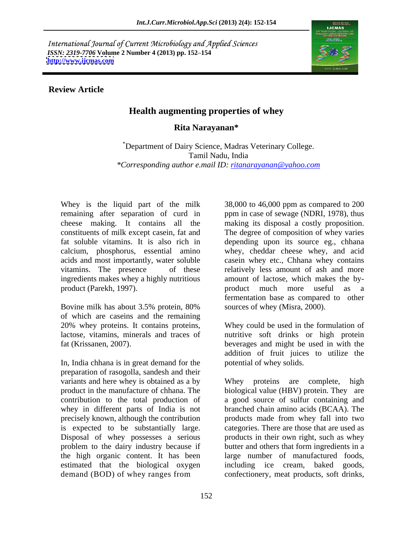International Journal of Current Microbiology and Applied Sciences *ISSN: 2319-7706* **Volume 2 Number 4 (2013) pp. 152 154 <http://www.ijcmas.com>**



## **Review Article**

## **Health augmenting properties of whey**

## **Rita Narayanan\***

\*Department of Dairy Science, Madras Veterinary College. Tamil Nadu, India *\*Corresponding author e.mail ID: ritanarayanan@yahoo.com*

ingredients makes whey a highly nutritious product (Parekh, 1997). The product much more useful as a

Bovine milk has about 3.5% protein, 80% sources of whey (Misra, 2000). of which are caseins and the remaining 20% whey proteins. It contains proteins,

In, India chhana is in great demand for the preparation of rasogolla, sandesh and their variants and here whey is obtained as a by Whey proteins are complete, high product in the manufacture of chhana. The biological value (HBV) protein. They are contribution to the total production of a good source of sulfur containing and whey in different parts of India is not precisely known, although the contribution is expected to be substantially large. categories. There are those that are used as Disposal of whey possesses a serious<br>problem to the dairy industry because if problem to the dairy industry because if butter and others that form ingredients in a the high organic content. It has been large number of manufactured foods, estimated that the biological oxygen

Whey is the liquid part of the milk 38,000 to 46,000 ppm as compared to 200 remaining after separation of curd in ppm in case of sewage (NDRI, 1978), thus cheese making. It contains all the making its disposal a costly proposition. constituents of milk except casein, fat and The degree of composition of whey varies fat soluble vitamins. It is also rich in depending upon its source eg., chhana calcium, phosphorus, essential amino whey, cheddar cheese whey, and acid acids and most importantly, water soluble casein whey etc., Chhana whey contains vitamins. The presence of these relatively less amount of ash and more amount of lactose, which makes the by product much more useful as a fermentation base as compared to other sources of whey (Misra, 2000).

lactose, vitamins, minerals and traces of nutritive soft drinks or high protein fat (Krissanen, 2007). beverages and might be used in with the Whey could be used in the formulation of addition of fruit juices to utilize the potential of whey solids.

demand (BOD) of whey ranges from confectionery, meat products, soft drinks, Whey proteins are complete, branched chain amino acids (BCAA). The products made from whey fall into two products in their own right, such as whey including ice cream, baked goods,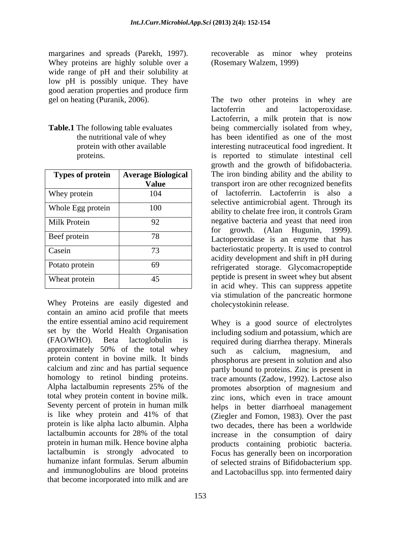Whey proteins are highly soluble over a wide range of pH and their solubility at low pH is possibly unique. They have good aeration properties and produce firm good aeration properties and produce firm

| <b>Types of protein</b> | <b>Average Biological</b><br><b>Value</b> |
|-------------------------|-------------------------------------------|
| Whey protein            | 104                                       |
| Whole Egg protein       | 100                                       |
| <b>Milk Protein</b>     | 92                                        |
| Beef protein            | 78                                        |
| Casein                  | 73                                        |
| Potato protein          | 69                                        |
| Wheat protein           | 45                                        |

Whey Proteins are easily digested and contain an amino acid profile that meets the entire essential amino acid requirement set by the World Health Organisation including sodium and potassium, which are (FAO/WHO). Beta lactoglobulin is required during diarrhea therapy. Minerals approximately 50% of the total whey such as calcium, magnesium, and protein content in bovine milk. It binds phosphorus are present in solution and also calcium and zinc and has partial sequence partly bound to proteins. Zinc is present in homology to retinol binding proteins. trace amounts (Zadow, 1992). Lactose also Alpha lactalbumin represents 25% of the promotes absorption of magnesium and total whey protein content in bovine milk. Seventy percent of protein in human milk helps in better diarrhoeal management is like whey protein and 41% of that (Ziegler and Fomon, 1983). Over the past protein is like alpha lacto albumin. Alpha two decades, there has been a worldwide lactalbumin accounts for 28% of the total increase in the consumption of dairy protein in human milk. Hence bovine alpha products containing probiotic bacteria. lactalbumin is strongly advocated to Focus has generally been on incorporation humanize infant formulas. Serum albumin of selected strains of Bifidobacterium spp. and immunoglobulins are blood proteins and Lactobacillus spp. into fermented dairy that become incorporated into milk and are

margarines and spreads (Parekh, 1997). recoverable as minor whey proteins (Rosemary Walzem, 1999)

gel on heating (Puranik, 2006). The two other proteins in whey are **Table.1** The following table evaluates being commercially isolated from whey, the nutritional vale of whey has been identified as one of the most protein with other available **interesting nutraceutical food ingredient**. It proteins. is reported to stimulate intestinal cell **Types of protein** Average Biological The iron binding ability and the ability to **Value** transport iron are other recognized benefits Whey protein 104 of lactoferrin. Lactoferrin is also a Whole Egg protein 100 ability to chelate free iron, it controls Gram Milk Protein 192 92 negative bacteria and yeast that need iron Beef protein 78 and Lactoperoxidase is an enzyme that has Casein 73 bacteriostatic property. It is used to control Potato protein 69 for the efficiency of the storage. Glycomacropeptide Wheat protein  $\overline{45}$  peptide is present in sweet whey but absent lactoferrin and lactoperoxidase. Lactoferrin, a milk protein that is now growth and the growth of bifidobacteria. selective antimicrobial agent. Through its for growth. (Alan Hugunin, 1999). acidity development and shift in pH during in acid whey. This can suppress appetite via stimulation of the pancreatic hormone cholecystokinin release.

> Whey is a good source of electrolytes such as calcium, magnesium, and zinc ions, which even in trace amount of selected strains of Bifidobacterium spp.